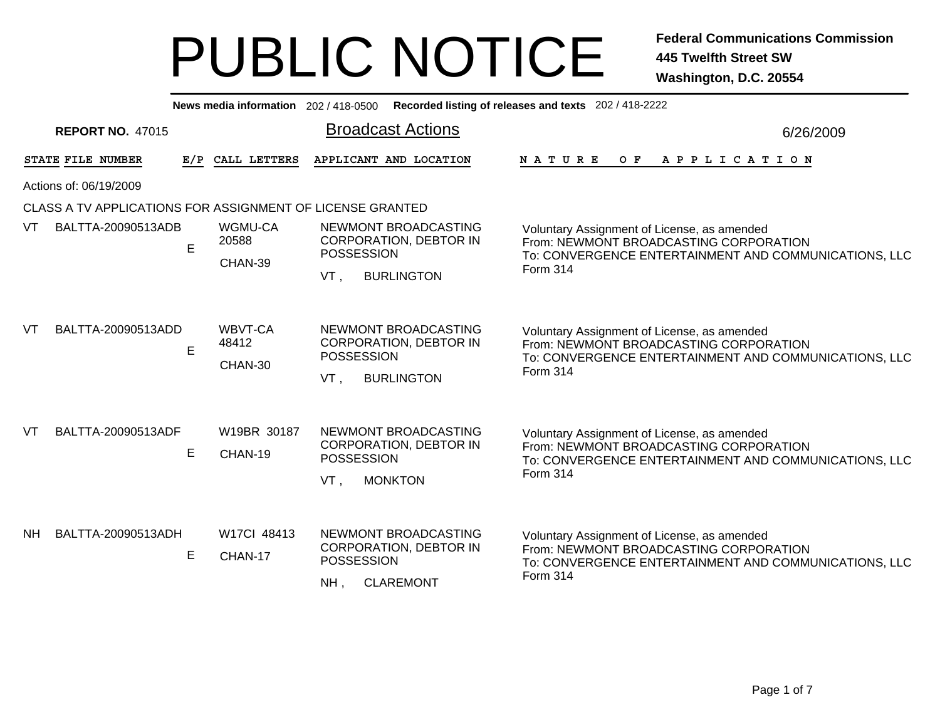|     |                         |   |                             | News media information 202 / 418-0500 Recorded listing of releases and texts 202 / 418-2222            |                                                                                                                                                            |  |
|-----|-------------------------|---|-----------------------------|--------------------------------------------------------------------------------------------------------|------------------------------------------------------------------------------------------------------------------------------------------------------------|--|
|     | <b>REPORT NO. 47015</b> |   |                             | <b>Broadcast Actions</b>                                                                               | 6/26/2009                                                                                                                                                  |  |
|     | STATE FILE NUMBER       |   | E/P CALL LETTERS            | APPLICANT AND LOCATION                                                                                 | <b>NATURE</b><br>O F<br>A P P L I C A T I O N                                                                                                              |  |
|     | Actions of: 06/19/2009  |   |                             |                                                                                                        |                                                                                                                                                            |  |
|     |                         |   |                             | CLASS A TV APPLICATIONS FOR ASSIGNMENT OF LICENSE GRANTED                                              |                                                                                                                                                            |  |
| VT  | BALTTA-20090513ADB      | E | WGMU-CA<br>20588<br>CHAN-39 | NEWMONT BROADCASTING<br><b>CORPORATION, DEBTOR IN</b><br><b>POSSESSION</b><br>VT.<br><b>BURLINGTON</b> | Voluntary Assignment of License, as amended<br>From: NEWMONT BROADCASTING CORPORATION<br>To: CONVERGENCE ENTERTAINMENT AND COMMUNICATIONS, LLC<br>Form 314 |  |
| VT  | BALTTA-20090513ADD      | E | WBVT-CA<br>48412<br>CHAN-30 | NEWMONT BROADCASTING<br>CORPORATION, DEBTOR IN<br><b>POSSESSION</b><br>VT.<br><b>BURLINGTON</b>        | Voluntary Assignment of License, as amended<br>From: NEWMONT BROADCASTING CORPORATION<br>To: CONVERGENCE ENTERTAINMENT AND COMMUNICATIONS, LLC<br>Form 314 |  |
| VT  | BALTTA-20090513ADF      | E | W19BR 30187<br>CHAN-19      | NEWMONT BROADCASTING<br><b>CORPORATION, DEBTOR IN</b><br>POSSESSION<br>VT.<br><b>MONKTON</b>           | Voluntary Assignment of License, as amended<br>From: NEWMONT BROADCASTING CORPORATION<br>To: CONVERGENCE ENTERTAINMENT AND COMMUNICATIONS, LLC<br>Form 314 |  |
| NH. | BALTTA-20090513ADH      | E | W17CI 48413<br>CHAN-17      | NEWMONT BROADCASTING<br><b>CORPORATION, DEBTOR IN</b><br>POSSESSION<br>NH,<br><b>CLAREMONT</b>         | Voluntary Assignment of License, as amended<br>From: NEWMONT BROADCASTING CORPORATION<br>To: CONVERGENCE ENTERTAINMENT AND COMMUNICATIONS, LLC<br>Form 314 |  |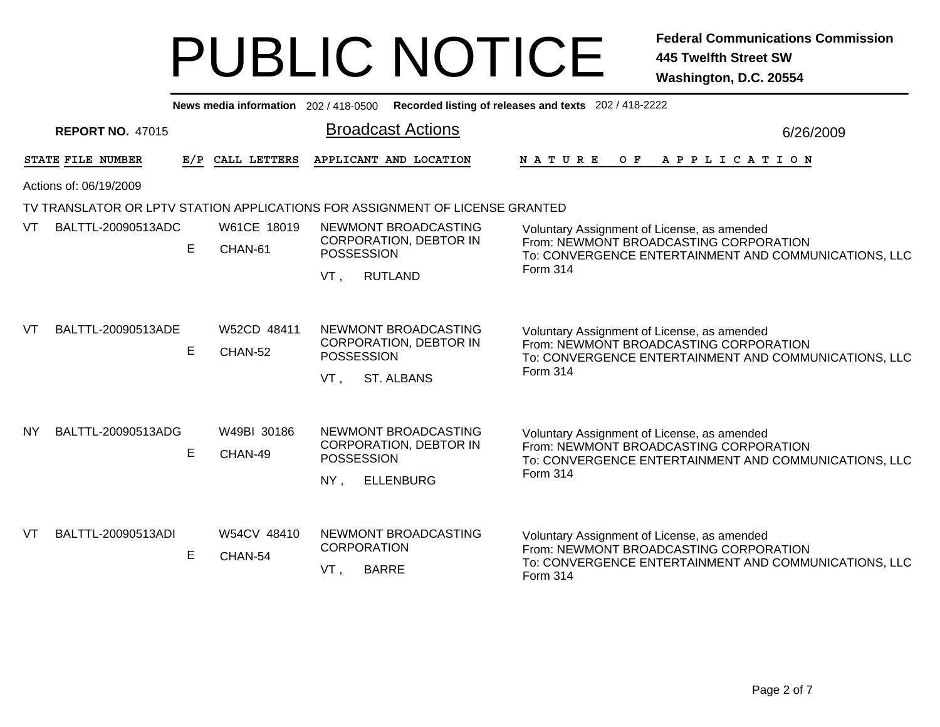|           |                         |   | News media information 202 / 418-0500 |                                                                                                        | Recorded listing of releases and texts 202 / 418-2222                                                                                                             |
|-----------|-------------------------|---|---------------------------------------|--------------------------------------------------------------------------------------------------------|-------------------------------------------------------------------------------------------------------------------------------------------------------------------|
|           | <b>REPORT NO. 47015</b> |   |                                       | <b>Broadcast Actions</b>                                                                               | 6/26/2009                                                                                                                                                         |
|           | STATE FILE NUMBER       |   | E/P CALL LETTERS                      | APPLICANT AND LOCATION                                                                                 | N A T U R E<br>O F<br>A P P L I C A T I O N                                                                                                                       |
|           | Actions of: 06/19/2009  |   |                                       |                                                                                                        |                                                                                                                                                                   |
|           |                         |   |                                       | TV TRANSLATOR OR LPTV STATION APPLICATIONS FOR ASSIGNMENT OF LICENSE GRANTED                           |                                                                                                                                                                   |
| VT.       | BALTTL-20090513ADC      | E | W61CE 18019<br>CHAN-61                | NEWMONT BROADCASTING<br><b>CORPORATION, DEBTOR IN</b><br><b>POSSESSION</b><br>VT,<br><b>RUTLAND</b>    | Voluntary Assignment of License, as amended<br>From: NEWMONT BROADCASTING CORPORATION<br>To: CONVERGENCE ENTERTAINMENT AND COMMUNICATIONS, LLC<br><b>Form 314</b> |
| <b>VT</b> | BALTTL-20090513ADE      | E | W52CD 48411<br>CHAN-52                | NEWMONT BROADCASTING<br><b>CORPORATION, DEBTOR IN</b><br><b>POSSESSION</b><br>VT.<br><b>ST. ALBANS</b> | Voluntary Assignment of License, as amended<br>From: NEWMONT BROADCASTING CORPORATION<br>To: CONVERGENCE ENTERTAINMENT AND COMMUNICATIONS, LLC<br><b>Form 314</b> |
| <b>NY</b> | BALTTL-20090513ADG      | E | W49BI 30186<br>CHAN-49                | NEWMONT BROADCASTING<br><b>CORPORATION, DEBTOR IN</b><br><b>POSSESSION</b><br><b>ELLENBURG</b><br>NY.  | Voluntary Assignment of License, as amended<br>From: NEWMONT BROADCASTING CORPORATION<br>To: CONVERGENCE ENTERTAINMENT AND COMMUNICATIONS, LLC<br><b>Form 314</b> |
| VT.       | BALTTL-20090513ADI      | E | W54CV 48410<br>CHAN-54                | NEWMONT BROADCASTING<br><b>CORPORATION</b><br><b>BARRE</b><br>VT.                                      | Voluntary Assignment of License, as amended<br>From: NEWMONT BROADCASTING CORPORATION<br>To: CONVERGENCE ENTERTAINMENT AND COMMUNICATIONS, LLC<br>Form 314        |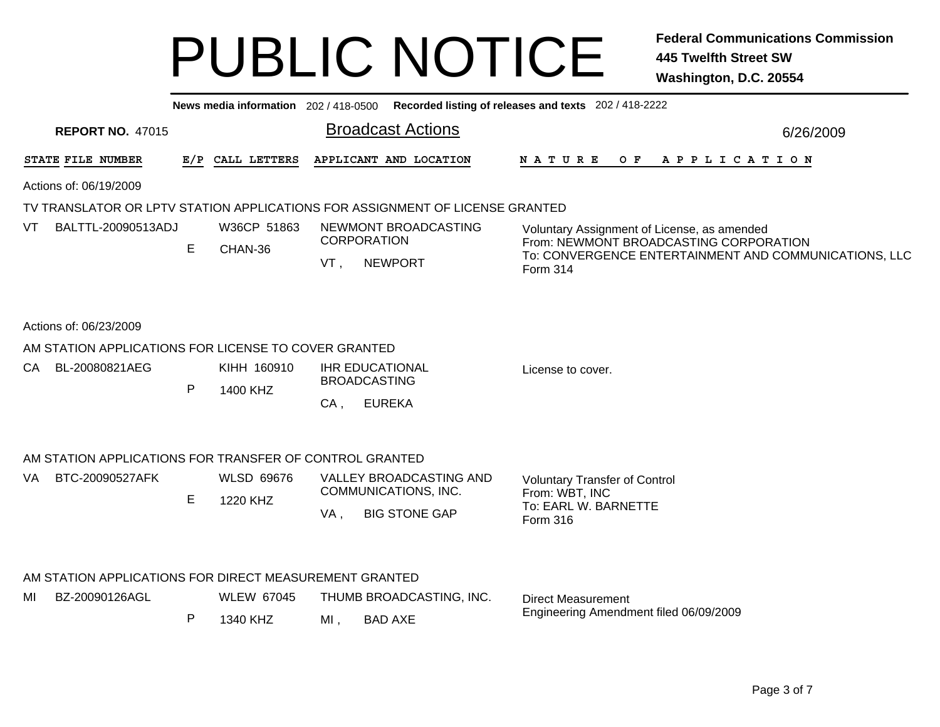|      |                                                         |     |                   |                           |                                                                              | News media information 202 / 418-0500 Recorded listing of releases and texts 202 / 418-2222                 |           |  |  |  |  |
|------|---------------------------------------------------------|-----|-------------------|---------------------------|------------------------------------------------------------------------------|-------------------------------------------------------------------------------------------------------------|-----------|--|--|--|--|
|      | <b>REPORT NO. 47015</b>                                 |     |                   |                           | <b>Broadcast Actions</b>                                                     |                                                                                                             | 6/26/2009 |  |  |  |  |
|      | STATE FILE NUMBER                                       | E/P | CALL LETTERS      |                           | APPLICANT AND LOCATION                                                       | N A T U R E<br>O F<br>A P P L I C A T I O N                                                                 |           |  |  |  |  |
|      | Actions of: 06/19/2009                                  |     |                   |                           |                                                                              |                                                                                                             |           |  |  |  |  |
|      |                                                         |     |                   |                           | TV TRANSLATOR OR LPTV STATION APPLICATIONS FOR ASSIGNMENT OF LICENSE GRANTED |                                                                                                             |           |  |  |  |  |
| VT   | BALTTL-20090513ADJ                                      |     | W36CP 51863       |                           | NEWMONT BROADCASTING                                                         | Voluntary Assignment of License, as amended                                                                 |           |  |  |  |  |
|      |                                                         | E   | CHAN-36           | <b>CORPORATION</b><br>VT, | <b>NEWPORT</b>                                                               | From: NEWMONT BROADCASTING CORPORATION<br>To: CONVERGENCE ENTERTAINMENT AND COMMUNICATIONS, LLC<br>Form 314 |           |  |  |  |  |
|      | Actions of: 06/23/2009                                  |     |                   |                           |                                                                              |                                                                                                             |           |  |  |  |  |
|      | AM STATION APPLICATIONS FOR LICENSE TO COVER GRANTED    |     |                   |                           |                                                                              |                                                                                                             |           |  |  |  |  |
| CA – | BL-20080821AEG                                          |     | KIHH 160910       |                           | <b>IHR EDUCATIONAL</b>                                                       | License to cover.                                                                                           |           |  |  |  |  |
|      |                                                         | P   | 1400 KHZ          | <b>BROADCASTING</b>       |                                                                              |                                                                                                             |           |  |  |  |  |
|      |                                                         |     |                   | $CA$ ,                    | <b>EUREKA</b>                                                                |                                                                                                             |           |  |  |  |  |
|      | AM STATION APPLICATIONS FOR TRANSFER OF CONTROL GRANTED |     |                   |                           |                                                                              |                                                                                                             |           |  |  |  |  |
| VA   | BTC-20090527AFK                                         |     | <b>WLSD 69676</b> |                           | VALLEY BROADCASTING AND                                                      | <b>Voluntary Transfer of Control</b>                                                                        |           |  |  |  |  |
|      |                                                         | E   | 1220 KHZ          |                           | COMMUNICATIONS, INC.                                                         | From: WBT, INC<br>To: EARL W. BARNETTE                                                                      |           |  |  |  |  |
|      |                                                         |     |                   | VA,                       | <b>BIG STONE GAP</b>                                                         | Form 316                                                                                                    |           |  |  |  |  |
|      | AM STATION APPLICATIONS FOR DIRECT MEASUREMENT GRANTED  |     |                   |                           |                                                                              |                                                                                                             |           |  |  |  |  |
| MI   | BZ-20090126AGL                                          |     | <b>WLEW 67045</b> |                           | THUMB BROADCASTING, INC.                                                     | <b>Direct Measurement</b>                                                                                   |           |  |  |  |  |
|      |                                                         | P   | 1340 KHZ          | $MI$ ,                    | <b>BAD AXE</b>                                                               | Engineering Amendment filed 06/09/2009                                                                      |           |  |  |  |  |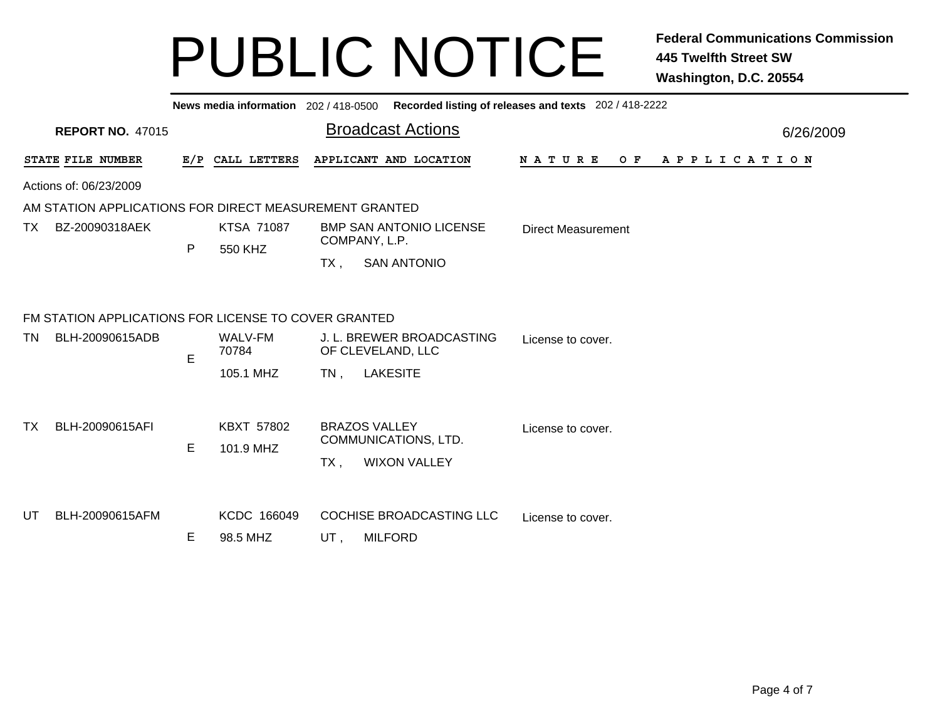|     |                                                        |   |                              |                                                 | News media information 202 / 418-0500 Recorded listing of releases and texts 202 / 418-2222 |                           |  |  |  |  |  |  |                       |  |
|-----|--------------------------------------------------------|---|------------------------------|-------------------------------------------------|---------------------------------------------------------------------------------------------|---------------------------|--|--|--|--|--|--|-----------------------|--|
|     | <b>REPORT NO. 47015</b>                                |   |                              |                                                 | <b>Broadcast Actions</b>                                                                    |                           |  |  |  |  |  |  | 6/26/2009             |  |
|     | STATE FILE NUMBER                                      |   | E/P CALL LETTERS             |                                                 | APPLICANT AND LOCATION                                                                      | N A T U R E<br>O F        |  |  |  |  |  |  | A P P L I C A T I O N |  |
|     | Actions of: 06/23/2009                                 |   |                              |                                                 |                                                                                             |                           |  |  |  |  |  |  |                       |  |
|     | AM STATION APPLICATIONS FOR DIRECT MEASUREMENT GRANTED |   |                              |                                                 |                                                                                             |                           |  |  |  |  |  |  |                       |  |
| TX. | BZ-20090318AEK                                         |   | <b>KTSA 71087</b><br>550 KHZ | <b>BMP SAN ANTONIO LICENSE</b><br>COMPANY, L.P. |                                                                                             | <b>Direct Measurement</b> |  |  |  |  |  |  |                       |  |
|     |                                                        | P |                              | $TX$ ,                                          | <b>SAN ANTONIO</b>                                                                          |                           |  |  |  |  |  |  |                       |  |
|     | FM STATION APPLICATIONS FOR LICENSE TO COVER GRANTED   |   |                              |                                                 |                                                                                             |                           |  |  |  |  |  |  |                       |  |
| TN  | BLH-20090615ADB                                        | E | WALV-FM<br>70784             |                                                 | J. L. BREWER BROADCASTING<br>OF CLEVELAND, LLC                                              | License to cover.         |  |  |  |  |  |  |                       |  |
|     |                                                        |   | 105.1 MHZ                    | $TN$ ,                                          | <b>LAKESITE</b>                                                                             |                           |  |  |  |  |  |  |                       |  |
| ТX  | BLH-20090615AFI                                        | E | KBXT 57802<br>101.9 MHZ      | $TX$ ,                                          | <b>BRAZOS VALLEY</b><br>COMMUNICATIONS, LTD.<br><b>WIXON VALLEY</b>                         | License to cover.         |  |  |  |  |  |  |                       |  |
| UT  | BLH-20090615AFM                                        | Е | KCDC 166049<br>98.5 MHZ      | UT,                                             | COCHISE BROADCASTING LLC<br><b>MILFORD</b>                                                  | License to cover.         |  |  |  |  |  |  |                       |  |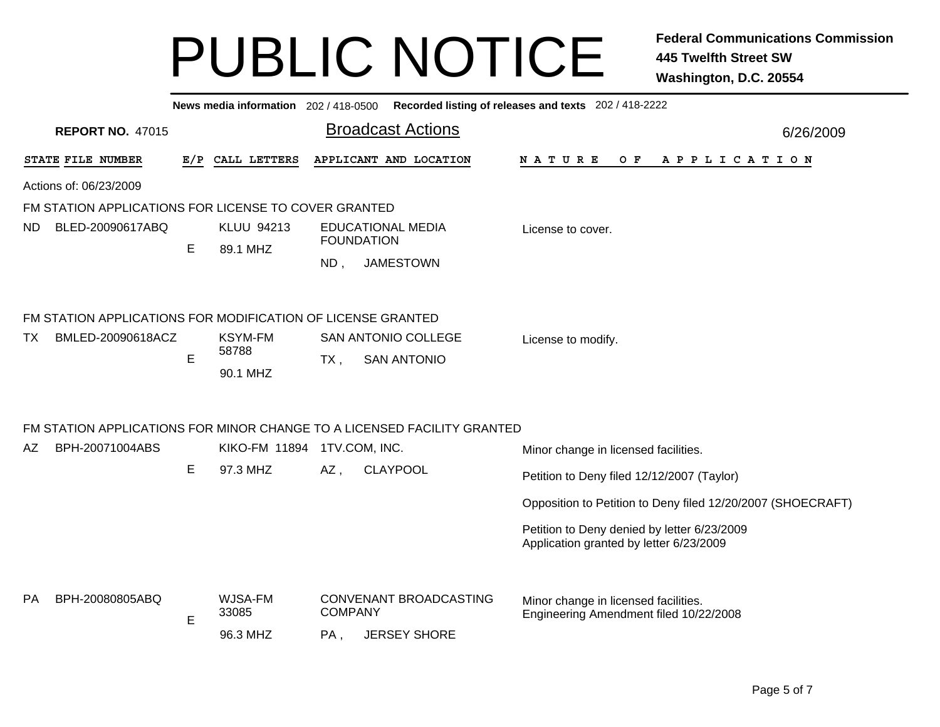| Recorded listing of releases and texts 202 / 418-2222<br>News media information 202 / 418-0500 |                                                             |                               |                   |                                                  |                                                                                        |           |  |  |  |  |
|------------------------------------------------------------------------------------------------|-------------------------------------------------------------|-------------------------------|-------------------|--------------------------------------------------|----------------------------------------------------------------------------------------|-----------|--|--|--|--|
| <b>REPORT NO. 47015</b>                                                                        |                                                             |                               |                   | <b>Broadcast Actions</b>                         |                                                                                        | 6/26/2009 |  |  |  |  |
| STATE FILE NUMBER                                                                              |                                                             | E/P CALL LETTERS              |                   | APPLICANT AND LOCATION                           | N A T U R E<br>O F<br>A P P L I C A T I O N                                            |           |  |  |  |  |
| Actions of: 06/23/2009                                                                         |                                                             |                               |                   |                                                  |                                                                                        |           |  |  |  |  |
| FM STATION APPLICATIONS FOR LICENSE TO COVER GRANTED                                           |                                                             |                               |                   |                                                  |                                                                                        |           |  |  |  |  |
| BLED-20090617ABQ<br>ND.                                                                        | E                                                           | <b>KLUU 94213</b><br>89.1 MHZ | <b>FOUNDATION</b> | <b>EDUCATIONAL MEDIA</b>                         | License to cover.                                                                      |           |  |  |  |  |
|                                                                                                |                                                             |                               | ND,               | <b>JAMESTOWN</b>                                 |                                                                                        |           |  |  |  |  |
|                                                                                                | FM STATION APPLICATIONS FOR MODIFICATION OF LICENSE GRANTED |                               |                   |                                                  |                                                                                        |           |  |  |  |  |
| BMLED-20090618ACZ<br>ТX                                                                        | E                                                           | <b>KSYM-FM</b><br>58788       | $TX$ ,            | <b>SAN ANTONIO COLLEGE</b><br><b>SAN ANTONIO</b> | License to modify.                                                                     |           |  |  |  |  |
|                                                                                                |                                                             | 90.1 MHZ                      |                   |                                                  |                                                                                        |           |  |  |  |  |
| FM STATION APPLICATIONS FOR MINOR CHANGE TO A LICENSED FACILITY GRANTED                        |                                                             |                               |                   |                                                  |                                                                                        |           |  |  |  |  |
| BPH-20071004ABS<br>AZ                                                                          |                                                             | <b>KIKO-FM 11894</b>          | 1TV.COM, INC.     |                                                  | Minor change in licensed facilities.                                                   |           |  |  |  |  |
|                                                                                                | E                                                           | 97.3 MHZ                      | AZ,               | <b>CLAYPOOL</b>                                  | Petition to Deny filed 12/12/2007 (Taylor)                                             |           |  |  |  |  |
|                                                                                                |                                                             |                               |                   |                                                  | Opposition to Petition to Deny filed 12/20/2007 (SHOECRAFT)                            |           |  |  |  |  |
|                                                                                                |                                                             |                               |                   |                                                  | Petition to Deny denied by letter 6/23/2009<br>Application granted by letter 6/23/2009 |           |  |  |  |  |
| BPH-20080805ABQ<br>PA.                                                                         |                                                             | WJSA-FM<br>33085              | <b>COMPANY</b>    | CONVENANT BROADCASTING                           | Minor change in licensed facilities.                                                   |           |  |  |  |  |
|                                                                                                | Е                                                           | 96.3 MHZ                      | PA,               | <b>JERSEY SHORE</b>                              | Engineering Amendment filed 10/22/2008                                                 |           |  |  |  |  |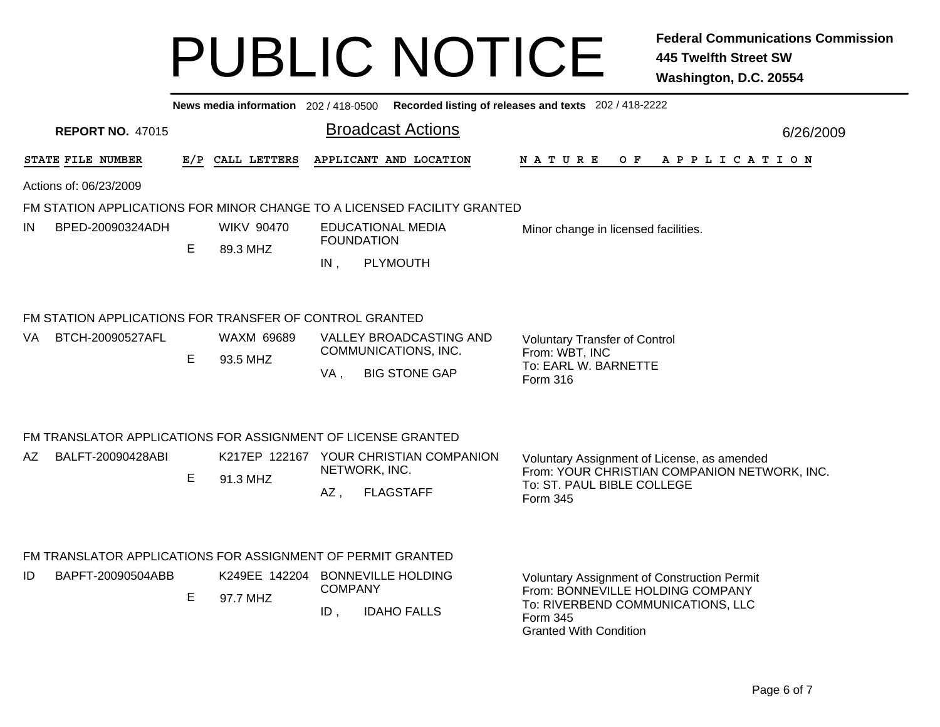| News media information 202 / 418-0500 Recorded listing of releases and texts 202 / 418-2222 |                                                              |   |                   |                                                         |                                                                         |                                                                                             |           |
|---------------------------------------------------------------------------------------------|--------------------------------------------------------------|---|-------------------|---------------------------------------------------------|-------------------------------------------------------------------------|---------------------------------------------------------------------------------------------|-----------|
|                                                                                             | <b>REPORT NO. 47015</b>                                      |   |                   |                                                         | <b>Broadcast Actions</b>                                                |                                                                                             | 6/26/2009 |
|                                                                                             | STATE FILE NUMBER                                            |   | E/P CALL LETTERS  |                                                         | APPLICANT AND LOCATION                                                  | O F<br>N A T U R E<br>A P P L I C A T I O N                                                 |           |
|                                                                                             | Actions of: 06/23/2009                                       |   |                   |                                                         |                                                                         |                                                                                             |           |
|                                                                                             |                                                              |   |                   |                                                         | FM STATION APPLICATIONS FOR MINOR CHANGE TO A LICENSED FACILITY GRANTED |                                                                                             |           |
| IN                                                                                          | BPED-20090324ADH                                             |   | <b>WIKV 90470</b> |                                                         | <b>EDUCATIONAL MEDIA</b><br><b>FOUNDATION</b>                           | Minor change in licensed facilities.                                                        |           |
|                                                                                             |                                                              | Е | 89.3 MHZ          |                                                         |                                                                         |                                                                                             |           |
|                                                                                             |                                                              |   |                   | $IN$ ,                                                  | PLYMOUTH                                                                |                                                                                             |           |
|                                                                                             | FM STATION APPLICATIONS FOR TRANSFER OF CONTROL GRANTED      |   |                   |                                                         |                                                                         |                                                                                             |           |
| VA                                                                                          | BTCH-20090527AFL                                             |   | <b>WAXM 69689</b> |                                                         | VALLEY BROADCASTING AND                                                 | <b>Voluntary Transfer of Control</b>                                                        |           |
|                                                                                             |                                                              | E | 93.5 MHZ          |                                                         | COMMUNICATIONS, INC.                                                    | From: WBT, INC                                                                              |           |
|                                                                                             |                                                              |   |                   | VA,                                                     | <b>BIG STONE GAP</b>                                                    | To: EARL W. BARNETTE<br>Form 316                                                            |           |
|                                                                                             |                                                              |   |                   |                                                         |                                                                         |                                                                                             |           |
|                                                                                             | FM TRANSLATOR APPLICATIONS FOR ASSIGNMENT OF LICENSE GRANTED |   |                   |                                                         |                                                                         |                                                                                             |           |
| AΖ                                                                                          | BALFT-20090428ABI                                            | E |                   | K217EP 122167 YOUR CHRISTIAN COMPANION<br>NETWORK, INC. |                                                                         | Voluntary Assignment of License, as amended<br>From: YOUR CHRISTIAN COMPANION NETWORK, INC. |           |
|                                                                                             |                                                              |   | 91.3 MHZ          | AZ,                                                     | <b>FLAGSTAFF</b>                                                        | To: ST. PAUL BIBLE COLLEGE<br>Form 345                                                      |           |
|                                                                                             | FM TRANSLATOR APPLICATIONS FOR ASSIGNMENT OF PERMIT GRANTED  |   |                   |                                                         |                                                                         |                                                                                             |           |
| ID                                                                                          | BAPFT-20090504ABB                                            |   |                   |                                                         | K249EE 142204 BONNEVILLE HOLDING                                        | Voluntary Assignment of Construction Permit                                                 |           |
|                                                                                             |                                                              | Е | 97.7 MHZ          | <b>COMPANY</b>                                          |                                                                         | From: BONNEVILLE HOLDING COMPANY                                                            |           |
|                                                                                             |                                                              |   |                   | ID,                                                     | <b>IDAHO FALLS</b>                                                      | To: RIVERBEND COMMUNICATIONS, LLC<br>Form 345<br><b>Granted With Condition</b>              |           |